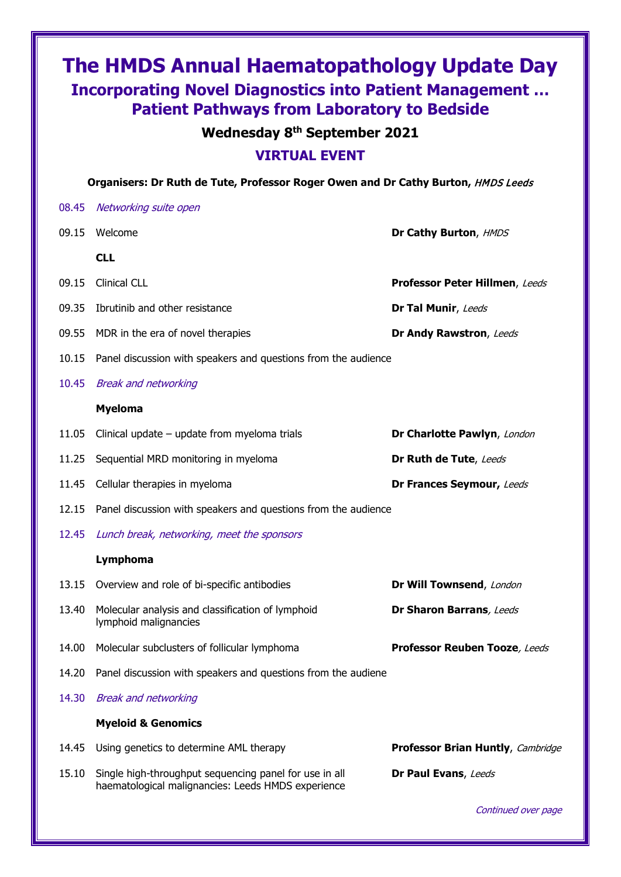## **The HMDS Annual Haematopathology Update Day Incorporating Novel Diagnostics into Patient Management … Patient Pathways from Laboratory to Bedside**

## **Wednesday 8th September 2021**

## **VIRTUAL EVENT**

**Organisers: Dr Ruth de Tute, Professor Roger Owen and Dr Cathy Burton,** HMDS Leeds

| 08.45 | Networking suite open                                                                                        |                                   |
|-------|--------------------------------------------------------------------------------------------------------------|-----------------------------------|
| 09.15 | Welcome                                                                                                      | Dr Cathy Burton, HMDS             |
|       | <b>CLL</b>                                                                                                   |                                   |
| 09.15 | <b>Clinical CLL</b>                                                                                          | Professor Peter Hillmen, Leeds    |
| 09.35 | Ibrutinib and other resistance                                                                               | Dr Tal Munir, Leeds               |
| 09.55 | MDR in the era of novel therapies                                                                            | Dr Andy Rawstron, Leeds           |
| 10.15 | Panel discussion with speakers and questions from the audience                                               |                                   |
| 10.45 | <b>Break and networking</b>                                                                                  |                                   |
|       | <b>Myeloma</b>                                                                                               |                                   |
| 11.05 | Clinical update $-$ update from myeloma trials                                                               | Dr Charlotte Pawlyn, London       |
| 11.25 | Sequential MRD monitoring in myeloma                                                                         | Dr Ruth de Tute, Leeds            |
| 11.45 | Cellular therapies in myeloma                                                                                | Dr Frances Seymour, Leeds         |
| 12.15 | Panel discussion with speakers and questions from the audience                                               |                                   |
| 12.45 | Lunch break, networking, meet the sponsors                                                                   |                                   |
|       | Lymphoma                                                                                                     |                                   |
| 13.15 | Overview and role of bi-specific antibodies                                                                  | Dr Will Townsend, London          |
| 13.40 | Molecular analysis and classification of lymphoid<br>lymphoid malignancies                                   | Dr Sharon Barrans, Leeds          |
| 14.00 | Molecular subclusters of follicular lymphoma                                                                 | Professor Reuben Tooze, Leeds     |
| 14.20 | Panel discussion with speakers and questions from the audiene                                                |                                   |
| 14.30 | <b>Break and networking</b>                                                                                  |                                   |
|       | <b>Myeloid &amp; Genomics</b>                                                                                |                                   |
| 14.45 | Using genetics to determine AML therapy                                                                      | Professor Brian Huntly, Cambridge |
| 15.10 | Single high-throughput sequencing panel for use in all<br>haematological malignancies: Leeds HMDS experience | Dr Paul Evans, Leeds              |

Continued over page